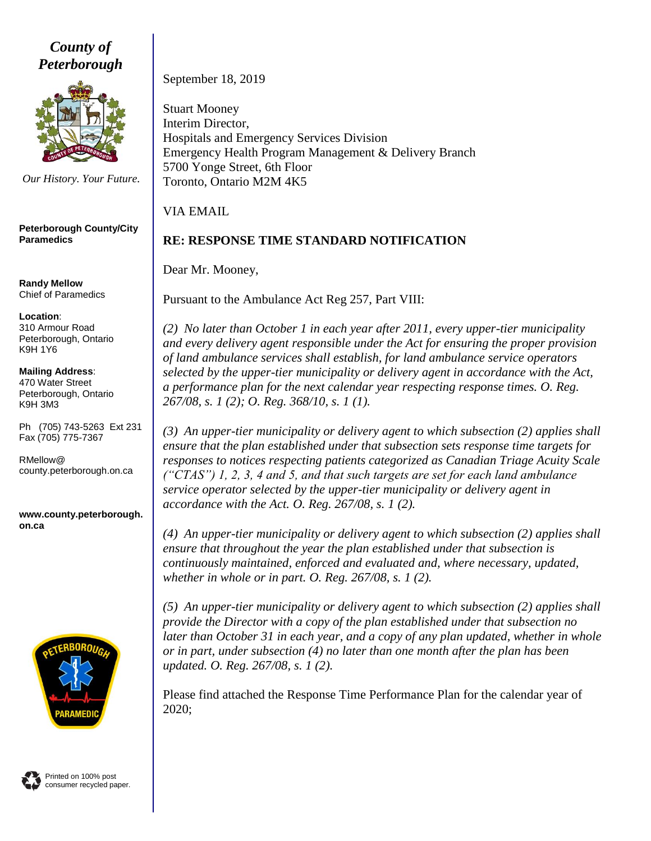*County of Peterborough*



*Our History. Your Future.*

**Peterborough County/City Paramedics**

**Randy Mellow** Chief of Paramedics

**Location**: 310 Armour Road Peterborough, Ontario K9H 1Y6

**Mailing Address**: 470 Water Street Peterborough, Ontario K9H 3M3

Ph (705) 743-5263 Ext 231 Fax (705) 775-7367

RMellow@ county.peterborough.on.ca

**www.county.peterborough. on.ca**



Printed on 100% post consumer recycled paper. September 18, 2019

Stuart Mooney Interim Director, Hospitals and Emergency Services Division Emergency Health Program Management & Delivery Branch 5700 Yonge Street, 6th Floor Toronto, Ontario M2M 4K5

VIA EMAIL

# **RE: RESPONSE TIME STANDARD NOTIFICATION**

Dear Mr. Mooney,

Pursuant to the Ambulance Act Reg 257, Part VIII:

*(2) No later than October 1 in each year after 2011, every upper-tier municipality and every delivery agent responsible under the Act for ensuring the proper provision of land ambulance services shall establish, for land ambulance service operators selected by the upper-tier municipality or delivery agent in accordance with the Act, a performance plan for the next calendar year respecting response times. O. Reg. 267/08, s. 1 (2); O. Reg. 368/10, s. 1 (1).*

*(3) An upper-tier municipality or delivery agent to which subsection (2) applies shall ensure that the plan established under that subsection sets response time targets for responses to notices respecting patients categorized as Canadian Triage Acuity Scale ("CTAS") 1, 2, 3, 4 and 5, and that such targets are set for each land ambulance service operator selected by the upper-tier municipality or delivery agent in accordance with the Act. O. Reg. 267/08, s. 1 (2).*

*(4) An upper-tier municipality or delivery agent to which subsection (2) applies shall ensure that throughout the year the plan established under that subsection is continuously maintained, enforced and evaluated and, where necessary, updated, whether in whole or in part. O. Reg. 267/08, s. 1 (2).*

*(5) An upper-tier municipality or delivery agent to which subsection (2) applies shall provide the Director with a copy of the plan established under that subsection no later than October 31 in each year, and a copy of any plan updated, whether in whole or in part, under subsection (4) no later than one month after the plan has been updated. O. Reg. 267/08, s. 1 (2).*

Please find attached the Response Time Performance Plan for the calendar year of 2020;